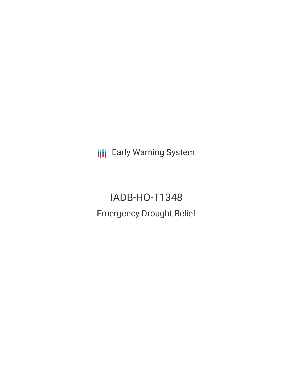**III** Early Warning System

IADB-HO-T1348 Emergency Drought Relief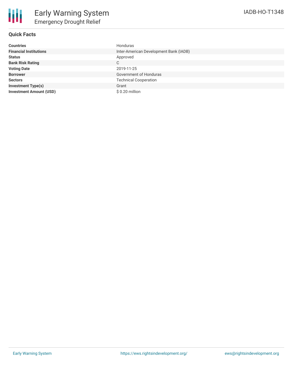

## **Quick Facts**

| <b>Countries</b>               | Honduras                               |
|--------------------------------|----------------------------------------|
| <b>Financial Institutions</b>  | Inter-American Development Bank (IADB) |
| <b>Status</b>                  | Approved                               |
| <b>Bank Risk Rating</b>        | C                                      |
| <b>Voting Date</b>             | 2019-11-25                             |
| <b>Borrower</b>                | Government of Honduras                 |
| <b>Sectors</b>                 | <b>Technical Cooperation</b>           |
| <b>Investment Type(s)</b>      | Grant                                  |
| <b>Investment Amount (USD)</b> | \$0.20 million                         |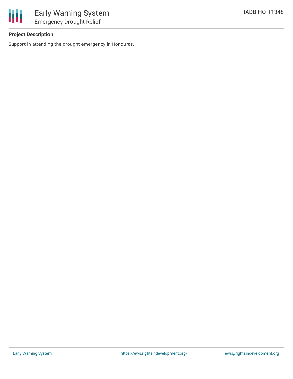

# **Project Description**

Support in attending the drought emergency in Honduras.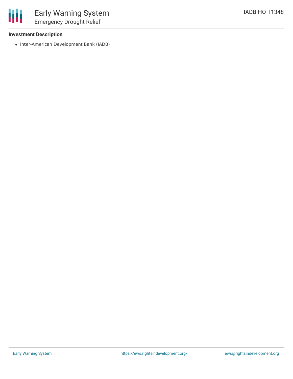## **Investment Description**

冊

• Inter-American Development Bank (IADB)

Early Warning System Emergency Drought Relief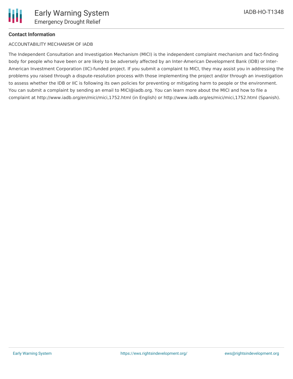#### **Contact Information**

#### ACCOUNTABILITY MECHANISM OF IADB

The Independent Consultation and Investigation Mechanism (MICI) is the independent complaint mechanism and fact-finding body for people who have been or are likely to be adversely affected by an Inter-American Development Bank (IDB) or Inter-American Investment Corporation (IIC)-funded project. If you submit a complaint to MICI, they may assist you in addressing the problems you raised through a dispute-resolution process with those implementing the project and/or through an investigation to assess whether the IDB or IIC is following its own policies for preventing or mitigating harm to people or the environment. You can submit a complaint by sending an email to MICI@iadb.org. You can learn more about the MICI and how to file a complaint at http://www.iadb.org/en/mici/mici,1752.html (in English) or http://www.iadb.org/es/mici/mici,1752.html (Spanish).